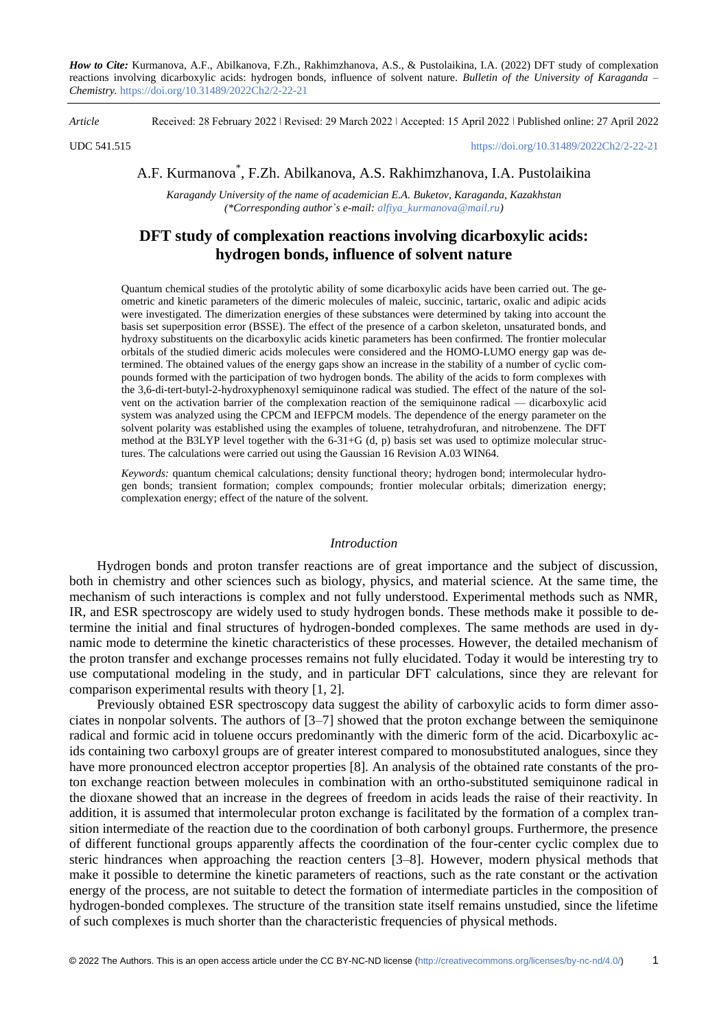*How to Cite:* Kurmanova, A.F., Abilkanova, F.Zh., Rakhimzhanova, A.S., & Pustolaikina, I.A. (2022) DFT study of complexation reactions involving dicarboxylic acids: hydrogen bonds, influence of solvent nature. *Bulletin of the University of Karaganda – Chemistry.* https://doi.org/10.31489/2022Ch2/2-22-21

*Article* Received: 28 February 2022 ǀ Revised: 29 March 2022 ǀ Accepted: 15 April 2022 ǀ Published online: 27 April 2022

UDC 541.515 <https://doi.org/10.31489/2022Ch2/2-22-21>

# A.F. Kurmanova\* , F.Zh. Abilkanova, A.S. Rakhimzhanova, I.A. Pustolaikina

*Karagandy University of the name of academician E.A. Buketov, Karaganda, Kazakhstan (\*Corresponding author`s e-mail: [alfiya\\_kurmanova@mail.ru\)](mailto:alfiya_kurmanova@mail.ru)*

## **DFT study of complexation reactions involving dicarboxylic acids: hydrogen bonds, influence of solvent nature**

Quantum chemical studies of the protolytic ability of some dicarboxylic acids have been carried out. The geometric and kinetic parameters of the dimeric molecules of maleic, succinic, tartaric, oxalic and adipic acids were investigated. The dimerization energies of these substances were determined by taking into account the basis set superposition error (BSSE). The effect of the presence of a carbon skeleton, unsaturated bonds, and hydroxy substituents on the dicarboxylic acids kinetic parameters has been confirmed. The frontier molecular orbitals of the studied dimeric acids molecules were considered and the HOMO-LUMO energy gap was determined. The obtained values of the energy gaps show an increase in the stability of a number of cyclic compounds formed with the participation of two hydrogen bonds. The ability of the acids to form complexes with the 3,6-di-tert-butyl-2-hydroxyphenoxyl semiquinone radical was studied. The effect of the nature of the solvent on the activation barrier of the complexation reaction of the semiquinone radical — dicarboxylic acid system was analyzed using the CPCM and IEFPCM models. The dependence of the energy parameter on the solvent polarity was established using the examples of toluene, tetrahydrofuran, and nitrobenzene. The DFT method at the B3LYP level together with the 6-31+G (d, p) basis set was used to optimize molecular structures. The calculations were carried out using the Gaussian 16 Revision A.03 WIN64.

*Keywords:* quantum chemical calculations; density functional theory; hydrogen bond; intermolecular hydrogen bonds; transient formation; complex compounds; frontier molecular orbitals; dimerization energy; complexation energy; effect of the nature of the solvent.

### *Introduction*

Hydrogen bonds and proton transfer reactions are of great importance and the subject of discussion, both in chemistry and other sciences such as biology, physics, and material science. At the same time, the mechanism of such interactions is complex and not fully understood. Experimental methods such as NMR, IR, and ESR spectroscopy are widely used to study hydrogen bonds. These methods make it possible to determine the initial and final structures of hydrogen-bonded complexes. The same methods are used in dynamic mode to determine the kinetic characteristics of these processes. However, the detailed mechanism of the proton transfer and exchange processes remains not fully elucidated. Today it would be interesting try to use computational modeling in the study, and in particular DFT calculations, since they are relevant for comparison experimental results with theory [1, 2].

Previously obtained ESR spectroscopy data suggest the ability of carboxylic acids to form dimer associates in nonpolar solvents. The authors of [3–7] showed that the proton exchange between the semiquinone radical and formic acid in toluene occurs predominantly with the dimeric form of the acid. Dicarboxylic acids containing two carboxyl groups are of greater interest compared to monosubstituted analogues, since they have more pronounced electron acceptor properties [8]. An analysis of the obtained rate constants of the proton exchange reaction between molecules in combination with an ortho-substituted semiquinone radical in the dioxane showed that an increase in the degrees of freedom in acids leads the raise of their reactivity. In addition, it is assumed that intermolecular proton exchange is facilitated by the formation of a complex transition intermediate of the reaction due to the coordination of both carbonyl groups. Furthermore, the presence of different functional groups apparently affects the coordination of the four-center cyclic complex due to steric hindrances when approaching the reaction centers [3–8]. However, modern physical methods that make it possible to determine the kinetic parameters of reactions, such as the rate constant or the activation energy of the process, are not suitable to detect the formation of intermediate particles in the composition of hydrogen-bonded complexes. The structure of the transition state itself remains unstudied, since the lifetime of such complexes is much shorter than the characteristic frequencies of physical methods.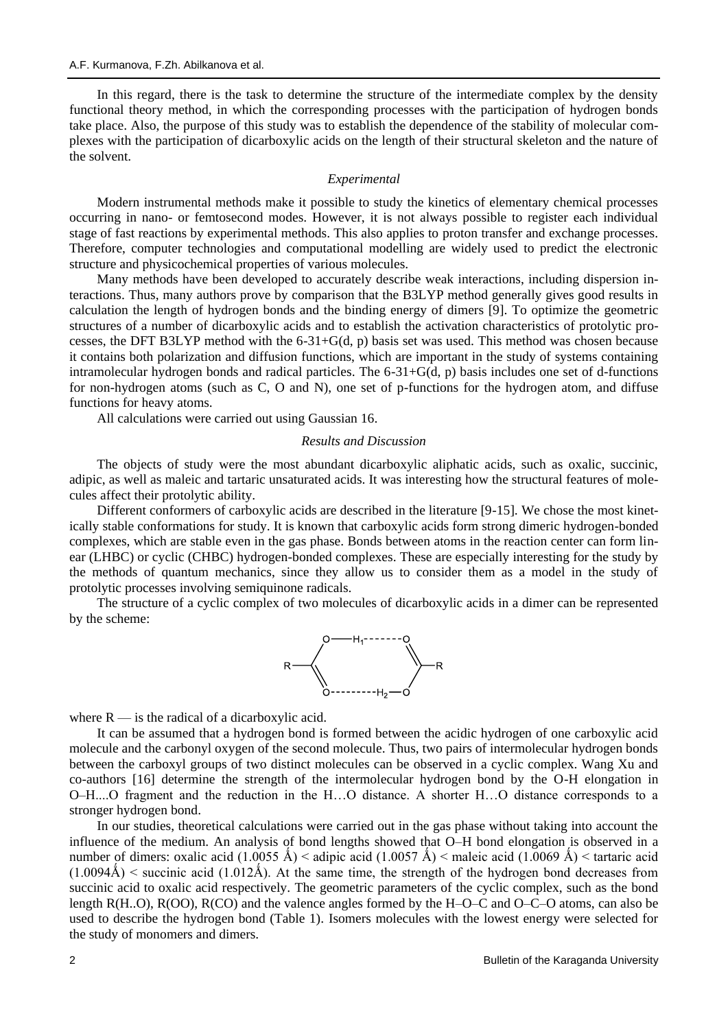In this regard, there is the task to determine the structure of the intermediate complex by the density functional theory method, in which the corresponding processes with the participation of hydrogen bonds take place. Also, the purpose of this study was to establish the dependence of the stability of molecular complexes with the participation of dicarboxylic acids on the length of their structural skeleton and the nature of the solvent.

## *Experimental*

Modern instrumental methods make it possible to study the kinetics of elementary chemical processes occurring in nano- or femtosecond modes. However, it is not always possible to register each individual stage of fast reactions by experimental methods. This also applies to proton transfer and exchange processes. Therefore, computer technologies and computational modelling are widely used to predict the electronic structure and physicochemical properties of various molecules.

Many methods have been developed to accurately describe weak interactions, including dispersion interactions. Thus, many authors prove by comparison that the B3LYP method generally gives good results in calculation the length of hydrogen bonds and the binding energy of dimers [9]. To optimize the geometric structures of a number of dicarboxylic acids and to establish the activation characteristics of protolytic processes, the DFT B3LYP method with the 6-31+G(d, p) basis set was used. This method was chosen because it contains both polarization and diffusion functions, which are important in the study of systems containing intramolecular hydrogen bonds and radical particles. The 6-31+G(d, p) basis includes one set of d-functions for non-hydrogen atoms (such as C, O and N), one set of p-functions for the hydrogen atom, and diffuse functions for heavy atoms.

All calculations were carried out using Gaussian 16.

#### *Results and Discussion*

The objects of study were the most abundant dicarboxylic aliphatic acids, such as oxalic, succinic, adipic, as well as maleic and tartaric unsaturated acids. It was interesting how the structural features of molecules affect their protolytic ability.

Different conformers of carboxylic acids are described in the literature [9-15]. We chose the most kinetically stable conformations for study. It is known that carboxylic acids form strong dimeric hydrogen-bonded complexes, which are stable even in the gas phase. Bonds between atoms in the reaction center can form linear (LHBC) or cyclic (CHBC) hydrogen-bonded complexes. These are especially interesting for the study by the methods of quantum mechanics, since they allow us to consider them as a model in the study of protolytic processes involving semiquinone radicals.

The structure of a cyclic complex of two molecules of dicarboxylic acids in a dimer can be represented by the scheme:



where  $R$  — is the radical of a dicarboxylic acid.

It can be assumed that a hydrogen bond is formed between the acidic hydrogen of one carboxylic acid molecule and the carbonyl oxygen of the second molecule. Thus, two pairs of intermolecular hydrogen bonds between the carboxyl groups of two distinct molecules can be observed in a cyclic complex. Wang Xu and co-authors [16] determine the strength of the intermolecular hydrogen bond by the O-H elongation in O–H....O fragment and the reduction in the H…O distance. A shorter H…O distance corresponds to a stronger hydrogen bond.

In our studies, theoretical calculations were carried out in the gas phase without taking into account the influence of the medium. An analysis of bond lengths showed that O–H bond elongation is observed in a number of dimers: oxalic acid (1.0055 Å) < adipic acid (1.0057 Å) < maleic acid (1.0069 Å) < tartaric acid  $(1.0094\text{\AA})$  < succinic acid  $(1.012\text{\AA})$ . At the same time, the strength of the hydrogen bond decreases from succinic acid to oxalic acid respectively. The geometric parameters of the cyclic complex, such as the bond length R(H..O), R(OO), R(CO) and the valence angles formed by the H–O–C and O–C–O atoms, can also be used to describe the hydrogen bond (Table 1). Isomers molecules with the lowest energy were selected for the study of monomers and dimers.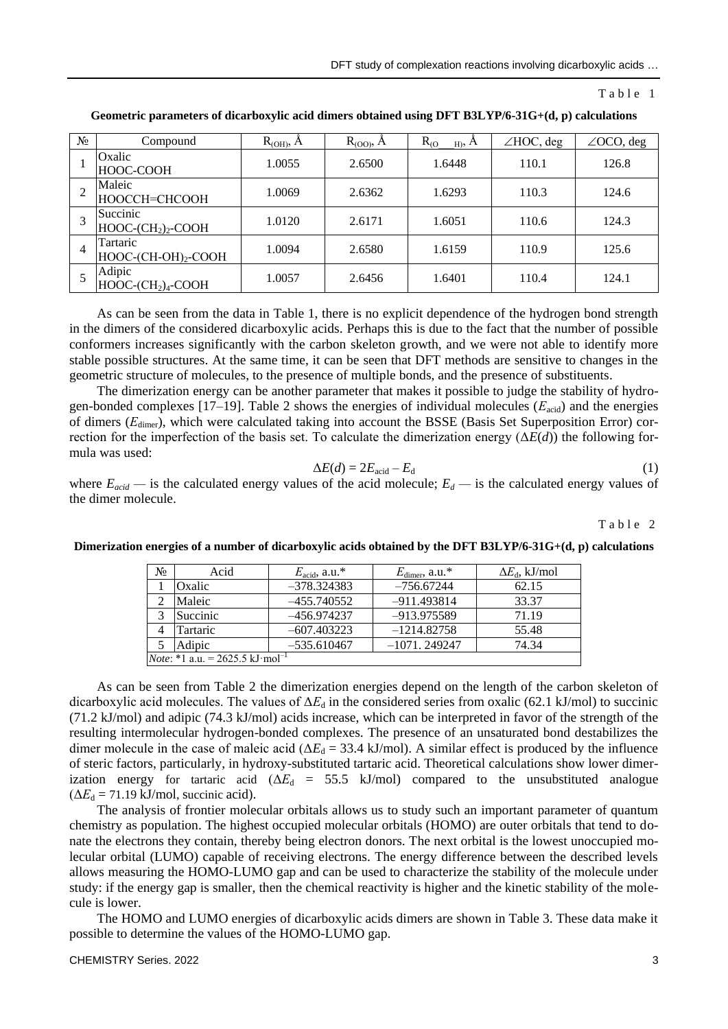| $N_{2}$ | Compound                                        | R <sub>(OH)</sub> , A | $R(OO)$ , $\AA$ | $R_{(O)}$<br>$_{\rm Hb}$ , A | $\angle$ HOC, deg | $\angle$ OCO, deg |
|---------|-------------------------------------------------|-----------------------|-----------------|------------------------------|-------------------|-------------------|
|         | Oxalic<br>HOOC-COOH                             | 1.0055                | 2.6500          | 1.6448                       | 110.1             | 126.8             |
|         | Maleic<br>НООССН=СНСООН                         | 1.0069                | 2.6362          | 1.6293                       | 110.3             | 124.6             |
|         | Succinic<br>$HOOC$ - $CH2$ ) <sub>2</sub> -COOH | 1.0120                | 2.6171          | 1.6051                       | 110.6             | 124.3             |
| 4       | Tartaric<br>HOOC-(CH-OH) <sub>2</sub> -COOH     | 1.0094                | 2.6580          | 1.6159                       | 110.9             | 125.6             |
|         | Adipic<br>$HOOC$ - $(CH2)4$ -COOH               | 1.0057                | 2.6456          | 1.6401                       | 110.4             | 124.1             |

**Geometric parameters of dicarboxylic acid dimers obtained using DFT B3LYP/6-31G+(d, p) calculations**

As can be seen from the data in Table 1, there is no explicit dependence of the hydrogen bond strength in the dimers of the considered dicarboxylic acids. Perhaps this is due to the fact that the number of possible conformers increases significantly with the carbon skeleton growth, and we were not able to identify more stable possible structures. At the same time, it can be seen that DFT methods are sensitive to changes in the geometric structure of molecules, to the presence of multiple bonds, and the presence of substituents.

The dimerization energy can be another parameter that makes it possible to judge the stability of hydrogen-bonded complexes [17–19]. Table 2 shows the energies of individual molecules ( $E_{\text{acid}}$ ) and the energies of dimers (*Е*dimer), which were calculated taking into account the BSSE (Basis Set Superposition Error) correction for the imperfection of the basis set. To calculate the dimerization energy  $(\Delta E(d))$  the following formula was used:

$$
\Delta E(d) = 2E_{\text{acid}} - E_{\text{d}} \tag{1}
$$

where  $E_{acid}$  — is the calculated energy values of the acid molecule;  $E_d$  — is the calculated energy values of the dimer molecule.

Table 2

| No                                                  | Acid     | $E_{\text{acid}}$ , a.u.* | $E_{\text{dimer}}$ , a.u.* | $\Delta E_d$ , kJ/mol |  |
|-----------------------------------------------------|----------|---------------------------|----------------------------|-----------------------|--|
|                                                     | Oxalic   | $-378.324383$             | $-756.67244$               | 62.15                 |  |
|                                                     | Maleic   | $-455.740552$             | $-911.493814$              | 33.37                 |  |
|                                                     | Succinic | -456.974237               | -913.975589                | 71.19                 |  |
| 4                                                   | Tartaric | $-607.403223$             | $-1214.82758$              | 55.48                 |  |
|                                                     | Adipic   | $-535.610467$             | $-1071, 249247$            | 74.34                 |  |
| <i>Note</i> : *1 a.u. = 2625.5 kJ·mol <sup>-1</sup> |          |                           |                            |                       |  |

**Dimerization energies of a number of dicarboxylic acids obtained by the DFT B3LYP/6-31G+(d, p) calculations**

As can be seen from Table 2 the dimerization energies depend on the length of the carbon skeleton of dicarboxylic acid molecules. The values of Δ*E*<sub>d</sub> in the considered series from oxalic (62.1 kJ/mol) to succinic (71.2 kJ/mol) and adipic (74.3 kJ/mol) acids increase, which can be interpreted in favor of the strength of the resulting intermolecular hydrogen-bonded complexes. The presence of an unsaturated bond destabilizes the dimer molecule in the case of maleic acid ( $\Delta E_d = 33.4$  kJ/mol). A similar effect is produced by the influence of steric factors, particularly, in hydroxy-substituted tartaric acid. Theoretical calculations show lower dimerization energy for tartaric acid  $(\Delta E_d = 55.5 \text{ kJ/mol})$  compared to the unsubstituted analogue  $(\Delta E_d = 71.19 \text{ kJ/mol}, \text{succinic acid}).$ 

The analysis of frontier molecular orbitals allows us to study such an important parameter of quantum chemistry as population. The highest occupied molecular orbitals (HOMO) are outer orbitals that tend to donate the electrons they contain, thereby being electron donors. The next orbital is the lowest unoccupied molecular orbital (LUMO) capable of receiving electrons. The energy difference between the described levels allows measuring the HOMO-LUMO gap and can be used to characterize the stability of the molecule under study: if the energy gap is smaller, then the chemical reactivity is higher and the kinetic stability of the molecule is lower.

The HOMO and LUMO energies of dicarboxylic acids dimers are shown in Table 3. These data make it possible to determine the values of the HOMO-LUMO gap.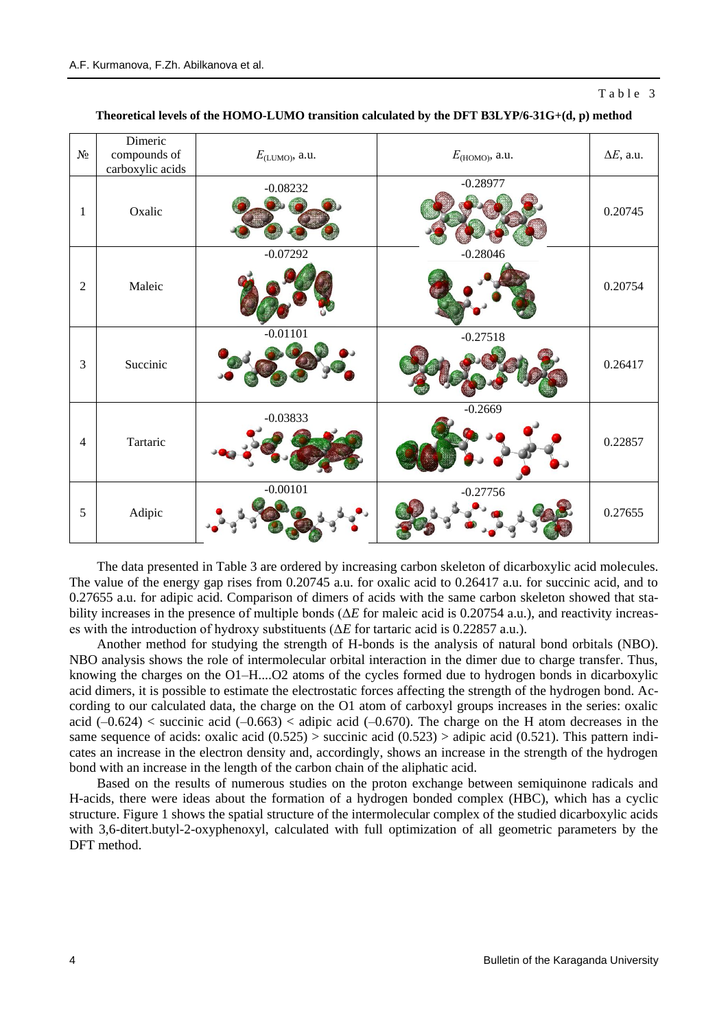### Table 3

|                          | Dimeric                          |                            |                  |                   |
|--------------------------|----------------------------------|----------------------------|------------------|-------------------|
| $N\!{\underline{\rm o}}$ | compounds of<br>carboxylic acids | $E_{\text{(LUMO)}}$ , a.u. | $E(HOMO)$ , a.u. | $\Delta E$ , a.u. |
| 1                        | Oxalic                           | $-0.08232$                 | $-0.28977$       | 0.20745           |
| $\overline{2}$           | Maleic                           | $-0.07292$                 | $-0.28046$       | 0.20754           |
| $\mathfrak{Z}$           | Succinic                         | $-0.01101$                 | $-0.27518$       | 0.26417           |
| $\overline{4}$           | Tartaric                         | $-0.03833$                 | $-0.2669$        | 0.22857           |
| 5                        | Adipic                           | $-0.00101$                 | $-0.27756$       | 0.27655           |

**Theoretical levels of the HOMO-LUMO transition calculated by the DFT B3LYP/6-31G+(d, p) method**

The data presented in Table 3 are ordered by increasing carbon skeleton of dicarboxylic acid molecules. The value of the energy gap rises from 0.20745 a.u. for oxalic acid to 0.26417 a.u. for succinic acid, and to 0.27655 a.u. for adipic acid. Comparison of dimers of acids with the same carbon skeleton showed that stability increases in the presence of multiple bonds (Δ*E* for maleic acid is 0.20754 a.u.), and reactivity increases with the introduction of hydroxy substituents (Δ*E* for tartaric acid is 0.22857 a.u.).

Another method for studying the strength of H-bonds is the analysis of natural bond orbitals (NBO). NBO analysis shows the role of intermolecular orbital interaction in the dimer due to charge transfer. Thus, knowing the charges on the O1–H....O2 atoms of the cycles formed due to hydrogen bonds in dicarboxylic acid dimers, it is possible to estimate the electrostatic forces affecting the strength of the hydrogen bond. According to our calculated data, the charge on the O1 atom of carboxyl groups increases in the series: oxalic acid  $(-0.624)$  < succinic acid  $(-0.663)$  < adipic acid  $(-0.670)$ . The charge on the H atom decreases in the same sequence of acids: oxalic acid  $(0.525)$  > succinic acid  $(0.523)$  > adipic acid  $(0.521)$ . This pattern indicates an increase in the electron density and, accordingly, shows an increase in the strength of the hydrogen bond with an increase in the length of the carbon chain of the aliphatic acid.

Based on the results of numerous studies on the proton exchange between semiquinone radicals and H-acids, there were ideas about the formation of a hydrogen bonded complex (HBC), which has a cyclic structure. Figure 1 shows the spatial structure of the intermolecular complex of the studied dicarboxylic acids with 3,6-ditert.butyl-2-oxyphenoxyl, calculated with full optimization of all geometric parameters by the DFT method.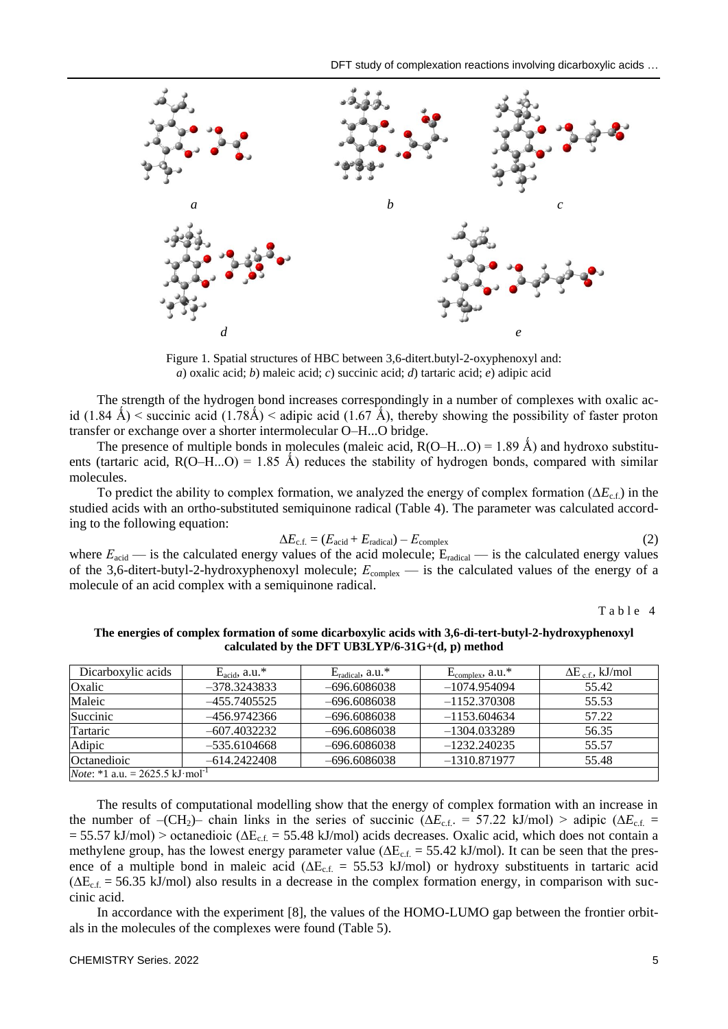

Figure 1. Spatial structures of HBC between 3,6-ditert.butyl-2-oxyphenoxyl and: *a*) oxalic acid; *b*) maleic acid; *c*) succinic acid; *d*) tartaric acid; *e*) adipic acid

The strength of the hydrogen bond increases correspondingly in a number of complexes with oxalic acid (1.84 Å) < succinic acid (1.78Å) < adipic acid (1.67 Å), thereby showing the possibility of faster proton transfer or exchange over a shorter intermolecular O–H...O bridge.

The presence of multiple bonds in molecules (maleic acid,  $R(O-H...O) = 1.89 \text{ Å}$ ) and hydroxo substituents (tartaric acid,  $R(O-H...O) = 1.85$  Å) reduces the stability of hydrogen bonds, compared with similar molecules.

To predict the ability to complex formation, we analyzed the energy of complex formation (∆*E*c.f.) in the studied acids with an ortho-substituted semiquinone radical (Table 4). The parameter was calculated according to the following equation:

$$
\Delta E_{\rm c.f.} = (E_{\rm acid} + E_{\rm radical}) - E_{\rm complex} \tag{2}
$$

where  $E_{\text{acid}}$  — is the calculated energy values of the acid molecule; E<sub>radical</sub> — is the calculated energy values of the 3,6-ditert-butyl-2-hydroxyphenoxyl molecule;  $E_{\text{complex}}$  — is the calculated values of the energy of a molecule of an acid complex with a semiquinone radical.

Table 4

| Dicarboxylic acids                                  | $E_{\text{acid}}$ , a.u.* | $E_{radical}$ , a.u.* | $E_{complex}$ , a.u.* | $\Delta E_{\text{cf}}$ , kJ/mol |  |
|-----------------------------------------------------|---------------------------|-----------------------|-----------------------|---------------------------------|--|
| Oxalic                                              | $-378.3243833$            | $-696.6086038$        | $-1074.954094$        | 55.42                           |  |
| Maleic                                              | $-455.7405525$            | $-696.6086038$        | $-1152.370308$        | 55.53                           |  |
| Succinic                                            | -456.9742366              | $-696.6086038$        | $-1153.604634$        | 57.22                           |  |
| Tartaric                                            | $-607.4032232$            | $-696.6086038$        | $-1304.033289$        | 56.35                           |  |
| Adipic                                              | $-535.6104668$            | $-696.6086038$        | $-1232.240235$        | 55.57                           |  |
| Octanedioic                                         | $-614.2422408$            | $-696.6086038$        | $-1310.871977$        | 55.48                           |  |
| <i>Note</i> : *1 a.u. = 2625.5 kJ mol <sup>-1</sup> |                           |                       |                       |                                 |  |

**The energies of complex formation of some dicarboxylic acids with 3,6-di-tert-butyl-2-hydroxyphenoxyl calculated by the DFT UB3LYP/6-31G+(d, p) method**

The results of computational modelling show that the energy of complex formation with an increase in the number of –(CH<sub>2</sub>)– chain links in the series of succinic ( $\Delta E_{\text{c.f.}}$  = 57.22 kJ/mol) > adipic ( $\Delta E_{\text{c.f.}}$  =  $= 55.57$  kJ/mol) > octanedioic ( $\Delta E_{cf} = 55.48$  kJ/mol) acids decreases. Oxalic acid, which does not contain a methylene group, has the lowest energy parameter value ( $\Delta E_{cf.}$  = 55.42 kJ/mol). It can be seen that the presence of a multiple bond in maleic acid ( $\Delta E_{cf.}$  = 55.53 kJ/mol) or hydroxy substituents in tartaric acid  $(\Delta E_{cf.} = 56.35 \text{ kJ/mol})$  also results in a decrease in the complex formation energy, in comparison with succinic acid.

In accordance with the experiment [8], the values of the HOMO-LUMO gap between the frontier orbitals in the molecules of the complexes were found (Table 5).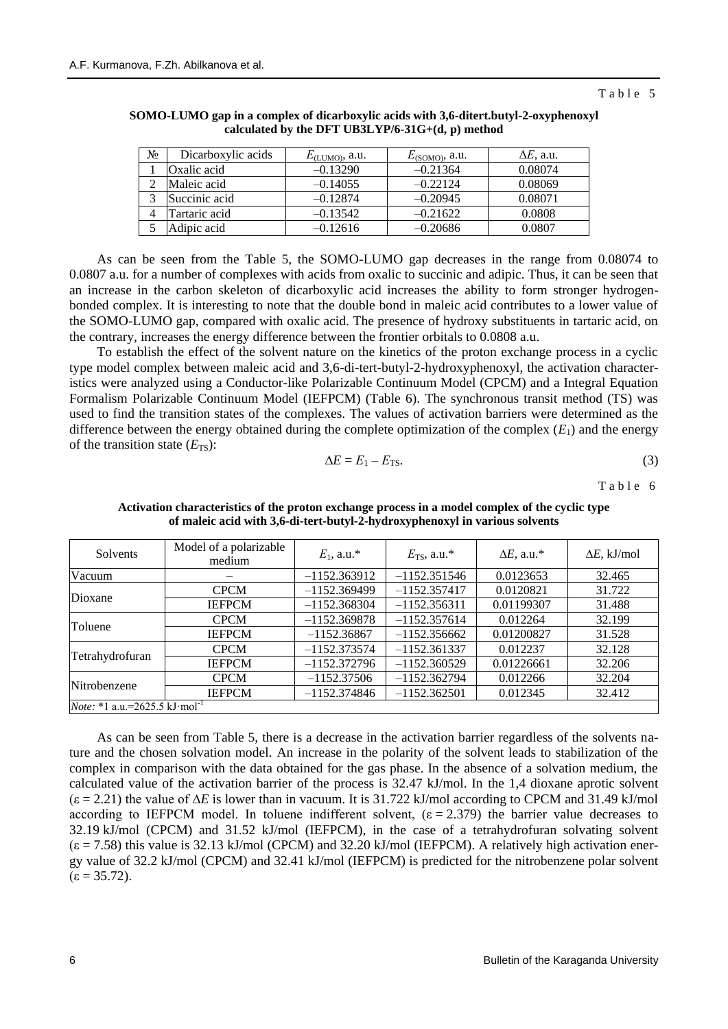| No | Dicarboxylic acids | $E_{\text{(LUMO)}},$ a.u. | $E_{(SOMO)}$ , a.u. | $\Delta E$ , a.u. |
|----|--------------------|---------------------------|---------------------|-------------------|
|    | Oxalic acid        | $-0.13290$                | $-0.21364$          | 0.08074           |
|    | Maleic acid        | $-0.14055$                | $-0.22124$          | 0.08069           |
|    | Succinic acid      | $-0.12874$                | $-0.20945$          | 0.08071           |
|    | Tartaric acid      | $-0.13542$                | $-0.21622$          | 0.0808            |
|    | Adipic acid        | $-0.12616$                | $-0.20686$          | 0.0807            |

**SOMO-LUMO gap in a complex of dicarboxylic acids with 3,6-ditert.butyl-2-oxyphenoxyl calculated by the DFT UB3LYP/6-31G+(d, p) method**

As can be seen from the Table 5, the SOMO-LUMO gap decreases in the range from 0.08074 to 0.0807 a.u. for a number of complexes with acids from oxalic to succinic and adipic. Thus, it can be seen that an increase in the carbon skeleton of dicarboxylic acid increases the ability to form stronger hydrogenbonded complex. It is interesting to note that the double bond in maleic acid contributes to a lower value of the SOMO-LUMO gap, compared with oxalic acid. The presence of hydroxy substituents in tartaric acid, on the contrary, increases the energy difference between the frontier orbitals to 0.0808 a.u.

To establish the effect of the solvent nature on the kinetics of the proton exchange process in a cyclic type model complex between maleic acid and 3,6-di-tert-butyl-2-hydroxyphenoxyl, the activation characteristics were analyzed using a Conductor-like Polarizable Continuum Model (CPCM) and a Integral Equation Formalism Polarizable Continuum Model (IEFPCM) (Table 6). The synchronous transit method (TS) was used to find the transition states of the complexes. The values of activation barriers were determined as the difference between the energy obtained during the complete optimization of the complex  $(E_1)$  and the energy of the transition state  $(E_{TS})$ :

$$
\Delta E = E_1 - E_{\text{TS}}.\tag{3}
$$

Table 6

| Solvents                                          | Model of a polarizable<br>medium | $E_1$ , a.u.*  | $E_{\text{TS}}$ , a.u.* | $\Delta E$ , a.u.* | $\Delta E$ , kJ/mol |
|---------------------------------------------------|----------------------------------|----------------|-------------------------|--------------------|---------------------|
| Vacuum                                            |                                  | $-1152.363912$ | $-1152.351546$          | 0.0123653          | 32.465              |
| Dioxane                                           | <b>CPCM</b>                      | $-1152.369499$ | $-1152.357417$          | 0.0120821          | 31.722              |
|                                                   | <b>IEFPCM</b>                    | $-1152.368304$ | $-1152.356311$          | 0.01199307         | 31.488              |
|                                                   | <b>CPCM</b>                      | $-1152.369878$ | $-1152.357614$          | 0.012264           | 32.199              |
| Toluene                                           | <b>IEFPCM</b>                    | $-1152.36867$  | $-1152.356662$          | 0.01200827         | 31.528              |
|                                                   | <b>CPCM</b>                      | $-1152.373574$ | $-1152.361337$          | 0.012237           | 32.128              |
| Tetrahydrofuran                                   | <b>IEFPCM</b>                    | $-1152.372796$ | $-1152.360529$          | 0.01226661         | 32.206              |
| Nitrobenzene                                      | <b>CPCM</b>                      | $-1152.37506$  | $-1152.362794$          | 0.012266           | 32.204              |
|                                                   | <b>IEFPCM</b>                    | $-1152.374846$ | $-1152.362501$          | 0.012345           | 32.412              |
| <i>Note</i> : *1 a.u.=2625.5 kJ mol <sup>-1</sup> |                                  |                |                         |                    |                     |

**Activation characteristics of the proton exchange process in a model complex of the cyclic type of maleic acid with 3,6-di-tert-butyl-2-hydroxyphenoxyl in various solvents**

As can be seen from Table 5, there is a decrease in the activation barrier regardless of the solvents nature and the chosen solvation model. An increase in the polarity of the solvent leads to stabilization of the complex in comparison with the data obtained for the gas phase. In the absence of a solvation medium, the calculated value of the activation barrier of the process is 32.47 kJ/mol. In the 1,4 dioxane aprotic solvent (ε = 2.21) the value of ∆*E* is lower than in vacuum. It is 31.722 kJ/mol according to CPCM and 31.49 kJ/mol according to IEFPCM model. In toluene indifferent solvent,  $(\epsilon = 2.379)$  the barrier value decreases to 32.19 kJ/mol (CPCM) and 31.52 kJ/mol (IEFPCM), in the case of a tetrahydrofuran solvating solvent  $(\epsilon = 7.58)$  this value is 32.13 kJ/mol (CPCM) and 32.20 kJ/mol (IEFPCM). A relatively high activation energy value of 32.2 kJ/mol (CPCM) and 32.41 kJ/mol (IEFPCM) is predicted for the nitrobenzene polar solvent  $(\epsilon = 35.72)$ .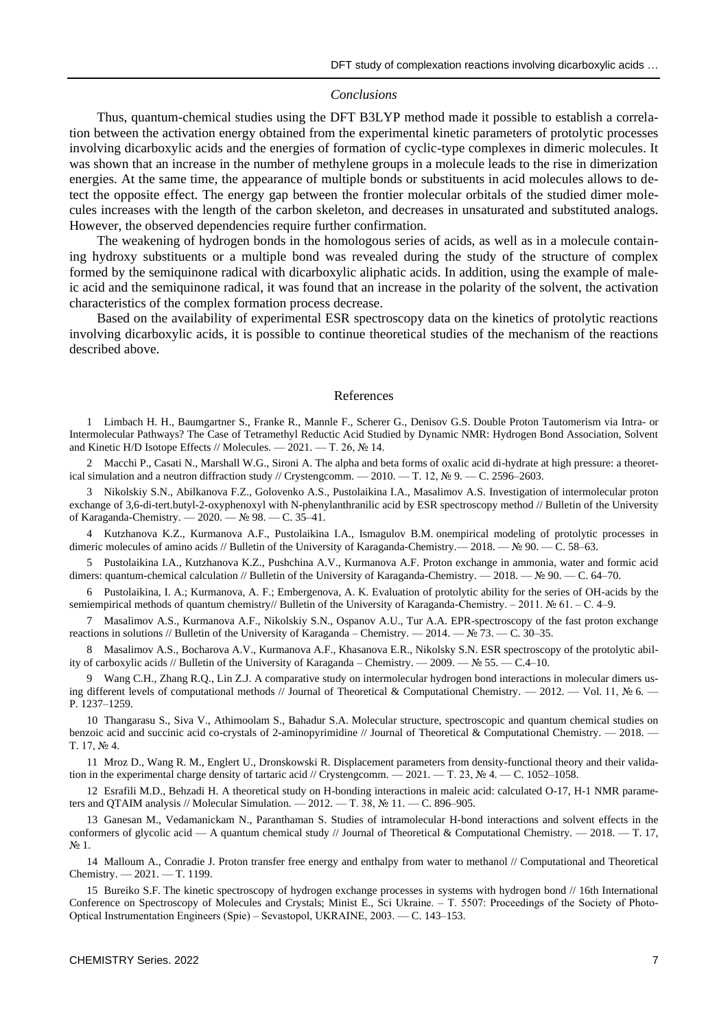#### *Conclusions*

Thus, quantum-chemical studies using the DFT B3LYP method made it possible to establish a correlation between the activation energy obtained from the experimental kinetic parameters of protolytic processes involving dicarboxylic acids and the energies of formation of cyclic-type complexes in dimeric molecules. It was shown that an increase in the number of methylene groups in a molecule leads to the rise in dimerization energies. At the same time, the appearance of multiple bonds or substituents in acid molecules allows to detect the opposite effect. The energy gap between the frontier molecular orbitals of the studied dimer molecules increases with the length of the carbon skeleton, and decreases in unsaturated and substituted analogs. However, the observed dependencies require further confirmation.

The weakening of hydrogen bonds in the homologous series of acids, as well as in a molecule containing hydroxy substituents or a multiple bond was revealed during the study of the structure of complex formed by the semiquinone radical with dicarboxylic aliphatic acids. In addition, using the example of maleic acid and the semiquinone radical, it was found that an increase in the polarity of the solvent, the activation characteristics of the complex formation process decrease.

Based on the availability of experimental ESR spectroscopy data on the kinetics of protolytic reactions involving dicarboxylic acids, it is possible to continue theoretical studies of the mechanism of the reactions described above.

### References

1 Limbach H. H., Baumgartner S., Franke R., Mannle F., Scherer G., Denisov G.S. Double Proton Tautomerism via Intra- or Intermolecular Pathways? The Case of Tetramethyl Reductic Acid Studied by Dynamic NMR: Hydrogen Bond Association, Solvent and Kinetic H/D Isotope Effects // Molecules. — 2021. — T. 26, № 14.

Macchi P., Casati N., Marshall W.G., Sironi A. The alpha and beta forms of oxalic acid di-hydrate at high pressure: a theoretical simulation and a neutron diffraction study // Crystengcomm. — 2010. — T. 12, № 9. — C. 2596–2603.

3 Nikolskiy S.N., Abilkanova F.Z., Golovenko A.S., Pustolaikina I.A., Masalimov A.S. Investigation of intermolecular proton exchange of 3,6-di-tert.butyl-2-oxyphenoxyl with N-phenylanthranilic acid by ESR spectroscopy method // Bulletin of the University of Karaganda-Chemistry. — 2020. — № 98. — C. 35–41.

4 Kutzhanova K.Z., Kurmanova A.F., Pustolaikina I.A., Ismagulov B.M. onempirical modeling of protolytic processes in dimeric molecules of amino acids // Bulletin of the University of Karaganda-Chemistry.— 2018. — № 90. — C. 58–63.

5 Pustolaikina I.A., Kutzhanova K.Z., Pushchina A.V., Kurmanova A.F. Proton exchange in ammonia, water and formic acid dimers: quantum-chemical calculation // Bulletin of the University of Karaganda-Chemistry. — 2018. — № 90. — С. 64–70.

6 Pustolaikina, I. A.; Kurmanova, A. F.; Embergenova, A. K. Evaluation of protolytic ability for the series of OH-acids by the semiempirical methods of quantum chemistry// Bulletin of the University of Karaganda-Chemistry. – 2011. № 61. – C. 4–9.

7 Masalimov A.S., Kurmanova A.F., Nikolskiy S.N., Ospanov A.U., Tur A.A. EPR-spectroscopy of the fast proton exchange reactions in solutions // Bulletin of the University of Karaganda – Chemistry. — 2014. —  $\mathbb{N}^2$  73. — C. 30–35.

8 Masalimov A.S., Bocharova A.V., Kurmanova A.F., Khasanova E.R., Nikolsky S.N. ESR spectroscopy of the protolytic ability of carboxylic acids // Bulletin of the University of Karaganda – Chemistry. — 2009. —  $\mathbb{N}_2$  55. — C.4–10.

Wang C.H., Zhang R.Q., Lin Z.J. A comparative study on intermolecular hydrogen bond interactions in molecular dimers using different levels of computational methods // Journal of Theoretical & Computational Chemistry. — 2012. — Vol. 11, № 6. — P. 1237–1259.

10 Thangarasu S., Siva V., Athimoolam S., Bahadur S.A. Molecular structure, spectroscopic and quantum chemical studies on benzoic acid and succinic acid co-crystals of 2-aminopyrimidine // Journal of Theoretical & Computational Chemistry. — 2018. — T. 17, № 4.

11 Mroz D., Wang R. M., Englert U., Dronskowski R. Displacement parameters from density-functional theory and their validation in the experimental charge density of tartaric acid // Crystengcomm. — 2021. — T. 23,  $\mathcal{N}_2$  4. — C. 1052–1058.

12 Esrafili M.D., Behzadi H. A theoretical study on H-bonding interactions in maleic acid: calculated O-17, H-1 NMR parameters and QTAIM analysis // Molecular Simulation. — 2012. — T. 38,  $N_2$  11. — C. 896–905.

13 Ganesan M., Vedamanickam N., Paranthaman S. Studies of intramolecular H-bond interactions and solvent effects in the conformers of glycolic acid — A quantum chemical study // Journal of Theoretical & Computational Chemistry.  $-2018$ . - T. 17, N<sub>o</sub> 1.

14 Malloum A., Conradie J. Proton transfer free energy and enthalpy from water to methanol // Computational and Theoretical Chemistry. — 2021. — T. 1199.

15 Bureiko S.F. The kinetic spectroscopy of hydrogen exchange processes in systems with hydrogen bond // 16th International Conference on Spectroscopy of Molecules and Crystals; Minist E., Sci Ukraine. ‒ T. 5507: Proceedings of the Society of Photo-Optical Instrumentation Engineers (Spie) ‒ Sevastopol, UKRAINE, 2003. — C. 143–153.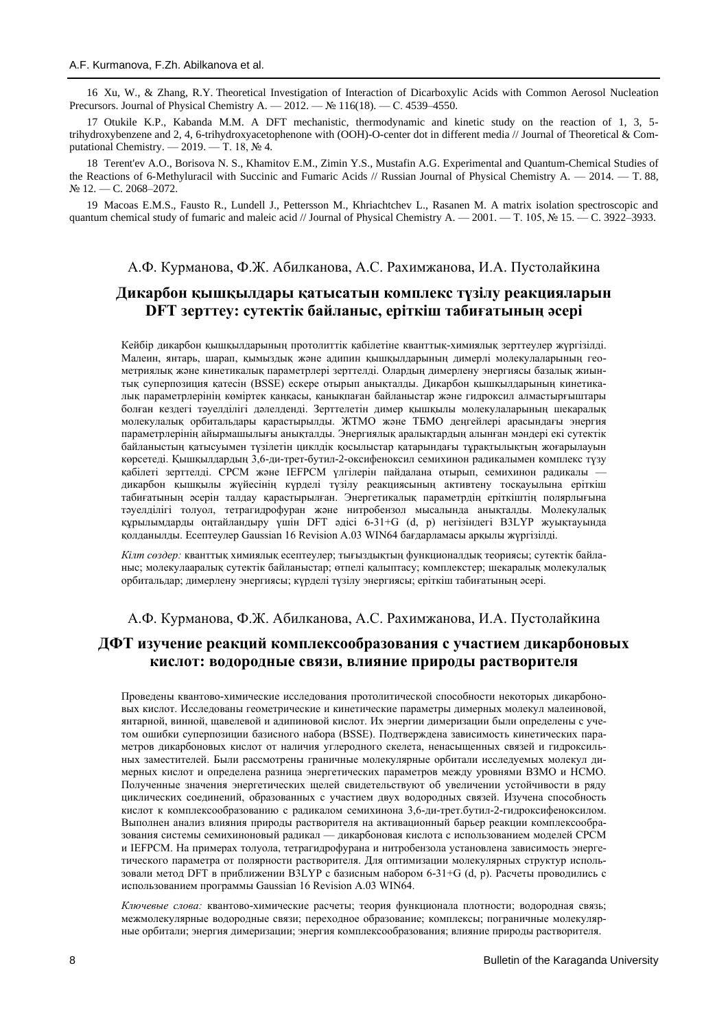16 Xu, W., & Zhang, R.Y. Theoretical Investigation of Interaction of Dicarboxylic Acids with Common Aerosol Nucleation Precursors. Journal of Physical Chemistry A. — 2012. —  $\mathbb{N}$  116(18). — C. 4539–4550.

17 Otukile K.P., Kabanda M.M. A DFT mechanistic, thermodynamic and kinetic study on the reaction of 1, 3, 5 trihydroxybenzene and 2, 4, 6-trihydroxyacetophenone with (OOH)-O-center dot in different media // Journal of Theoretical & Computational Chemistry. — 2019. — T. 18,  $\mathbb{N}^2$  4.

18 Terent'ev A.O., Borisova N. S., Khamitov E.M., Zimin Y.S., Mustafin A.G. Experimental and Quantum-Chemical Studies of the Reactions of 6-Methyluracil with Succinic and Fumaric Acids // Russian Journal of Physical Chemistry A. — 2014. — T. 88, № 12. — C. 2068–2072.

19 Macoas E.M.S., Fausto R., Lundell J., Pettersson M., Khriachtchev L., Rasanen M. A matrix isolation spectroscopic and quantum chemical study of fumaric and maleic acid // Journal of Physical Chemistry A. — 2001. — T. 105, № 15. — C. 3922–3933.

### А.Ф. Курманова, Ф.Ж. Абилканова, А.С. Рахимжанова, И.А. Пустолайкина

## **Дикарбон қышқылдары қатысатын комплекс түзілу реакцияларын DFT зерттеу: сутектік байланыс, еріткіш табиғатының әсері**

Кейбір дикарбон қышқылдарының протолиттік қабілетіне кванттық-химиялық зерттеулер жүргізілді. Малеин, янтарь, шарап, қымыздық және адипин қышқылдарының димерлі молекулаларының геометриялық және кинетикалық параметрлері зерттелді. Олардың димерлену энергиясы базалық жиынтық суперпозиция қатесін (BSSE) ескере отырып анықталды. Дикарбон қышқылдарының кинетикалық параметрлерінің көміртек қаңқасы, қанықпаған байланыстар және гидроксил алмастырғыштары болған кездегі тәуелділігі дәлелденді. Зерттелетін димер қышқылы молекулаларының шекаралық молекулалық орбитальдары қарастырылды. ЖТМО және ТБMO деңгейлері арасындағы энергия параметрлерінің айырмашылығы анықталды. Энергиялық аралықтардың алынған мәндері екі сутектік байланыстың қатысуымен түзілетін циклдік қосылыстар қатарындағы тұрақтылықтың жоғарылауын көрсетеді. Қышқылдардың 3,6-ди-трет-бутил-2-оксифеноксил семихинон радикалымен комплекс түзу қабілеті зерттелді. CPCM және IEFPCM үлгілерін пайдалана отырып, семихинон радикалы дикарбон қышқылы жүйесінің күрделі түзілу реакциясының активтену тосқауылына еріткіш табиғатының әсерін талдау қарастырылған. Энергетикалық параметрдің еріткіштің полярлығына тәуелділігі толуол, тетрагидрофуран және нитробензол мысалында анықталды. Молекулалық құрылымдарды оңтайландыру үшін DFT әдісі 6-31+G (d, p) негізіндегі B3LYP жуықтауында қолданылды. Есептеулер Gaussian 16 Revision A.03 WIN64 бағдарламасы арқылы жүргізілді.

*Кілт сөздер:* кванттық химиялық есептеулер; тығыздықтың функционалдық теориясы; сутектік байланыс; молекулааралық сутектік байланыстар; өтпелі қалыптасу; комплекстер; шекаралық молекулалық орбитальдар; димерлену энергиясы; күрделі түзілу энергиясы; еріткіш табиғатының әсері.

### А.Ф. Курманова, Ф.Ж. Абилканова, А.С. Рахимжанова, И.А. Пустолайкина

## **ДФТ изучение реакций комплексообразования с участием дикарбоновых кислот: водородные связи, влияние природы растворителя**

Проведены квантово-химические исследования протолитической способности некоторых дикарбоновых кислот. Исследованы геометрические и кинетические параметры димерных молекул малеиновой, янтарной, винной, щавелевой и адипиновой кислот. Их энергии димеризации были определены с учетом ошибки суперпозиции базисного набора (BSSE). Подтверждена зависимость кинетических параметров дикарбоновых кислот от наличия углеродного скелета, ненасыщенных связей и гидроксильных заместителей. Были рассмотрены граничные молекулярные орбитали исследуемых молекул димерных кислот и определена разница энергетических параметров между уровнями ВЗМО и НСМО. Полученные значения энергетических щелей свидетельствуют об увеличении устойчивости в ряду циклических соединений, образованных с участием двух водородных связей. Изучена способность кислот к комплексообразованию с радикалом семихинона 3,6-ди-трет.бутил-2-гидроксифеноксилом. Выполнен анализ влияния природы растворителя на активационный барьер реакции комплексообразования системы семихиноновый радикал — дикарбоновая кислота с использованием моделей CPCM и IEFPCM. На примерах толуола, тетрагидрофурана и нитробензола установлена зависимость энергетического параметра от полярности растворителя. Для оптимизации молекулярных структур использовали метод DFT в приближении B3LYP с базисным набором 6-31+G (d, p). Расчеты проводились с использованием программы Gaussian 16 Revision A.03 WIN64.

*Ключевые слова:* квантово-химические расчеты; теория функционала плотности; водородная связь; межмолекулярные водородные связи; переходное образование; комплексы; пограничные молекулярные орбитали; энергия димеризации; энергия комплексообразования; влияние природы растворителя.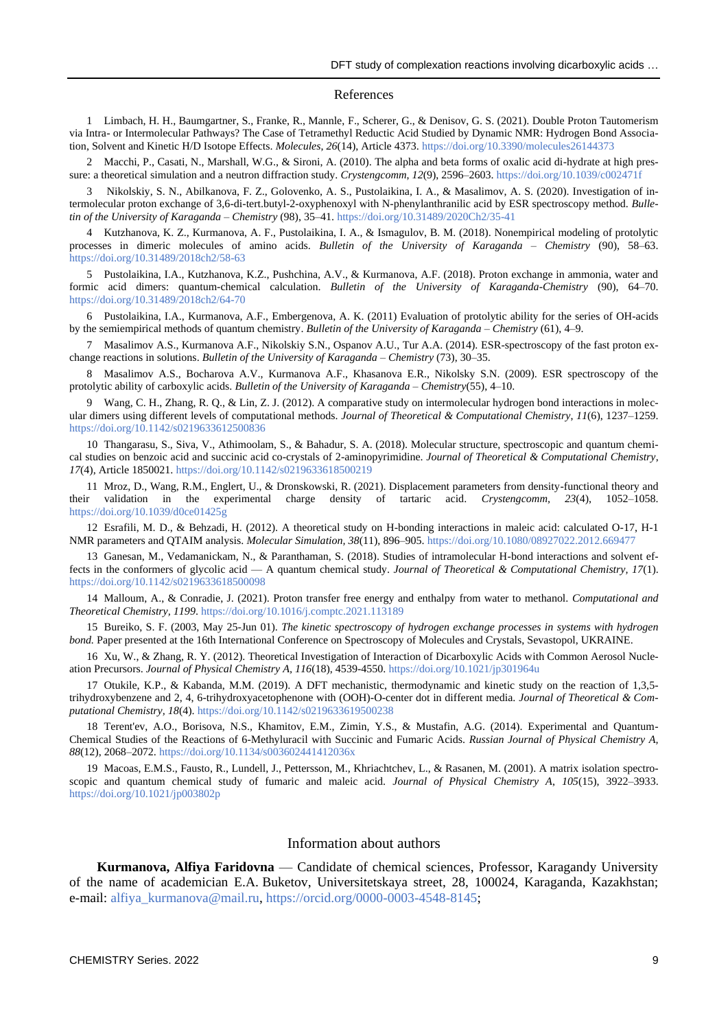#### References

1 Limbach, H. H., Baumgartner, S., Franke, R., Mannle, F., Scherer, G., & Denisov, G. S. (2021). Double Proton Tautomerism via Intra- or Intermolecular Pathways? The Case of Tetramethyl Reductic Acid Studied by Dynamic NMR: Hydrogen Bond Association, Solvent and Kinetic H/D Isotope Effects. *Molecules*, 26(14), Article 4373.<https://doi.org/10.3390/molecules26144373>

2 Macchi, P., Casati, N., Marshall, W.G., & Sironi, A. (2010). The alpha and beta forms of oxalic acid di-hydrate at high pressure: a theoretical simulation and a neutron diffraction study. *Crystengcomm*, *12*(9), 2596–2603.<https://doi.org/10.1039/c002471f>

3 Nikolskiy, S. N., Abilkanova, F. Z., Golovenko, A. S., Pustolaikina, I. A., & Masalimov, A. S. (2020). Investigation of intermolecular proton exchange of 3,6-di-tert.butyl-2-oxyphenoxyl with N-phenylanthranilic acid by ESR spectroscopy method. *Bulletin of the University of Karaganda – Chemistry* (98), 35–41[. https://doi.org/10.31489/2020Ch2/35-41](https://doi.org/10.31489/2020Ch2/35-41)

4 Kutzhanova, K. Z., Kurmanova, A. F., Pustolaikina, I. A., & Ismagulov, B. M. (2018). Nonempirical modeling of protolytic processes in dimeric molecules of amino acids. *Bulletin of the University of Karaganda – Chemistry* (90), 58–63. <https://doi.org/10.31489/2018ch2/58-63>

5 Pustolaikina, I.A., Kutzhanova, K.Z., Pushchina, A.V., & Kurmanova, A.F. (2018). Proton exchange in ammonia, water and formic acid dimers: quantum-chemical calculation. *Bulletin of the University of Karaganda-Chemistry* (90), 64–70. <https://doi.org/10.31489/2018ch2/64-70>

6 [Pustolaikina, I.A.,](https://www.webofscience.com/wos/author/record/4275445) [Kurmanova, A.F.,](https://www.webofscience.com/wos/author/record/4967758) [Embergenova, A. K.](https://www.webofscience.com/wos/author/record/21540000) (2011) [Evaluation of protolytic ability for the series of OH-acids](https://www.webofscience.com/wos/woscc/full-record/WOS:000422225000001)  [by the semiempirical methods of quantum chemistry.](https://www.webofscience.com/wos/woscc/full-record/WOS:000422225000001) *Bulletin of the University of Karaganda – Chemistry* (61), 4–9.

7 Masalimov A.S., Kurmanova A.F., Nikolskiy S.N., Ospanov A.U., Tur A.A. (2014). [ESR-spectroscopy of the fast proton ex](https://www.webofscience.com/wos/woscc/full-record/WOS:000422230700006)[change reactions in solutions.](https://www.webofscience.com/wos/woscc/full-record/WOS:000422230700006) *Bulletin of the University of Karaganda – Chemistry* (73), 30–35.

8 Masalimov A.S., Bocharova A.V., Kurmanova A.F., Khasanova E.R., Nikolsky S.N. (2009). ESR spectroscopy of the protolytic ability of carboxylic acids. *Bulletin of the University of Karaganda – Chemistry*(55), 4–10.

9 Wang, C. H., Zhang, R. Q., & Lin, Z. J. (2012). A comparative study on intermolecular hydrogen bond interactions in molecular dimers using different levels of computational methods. *Journal of Theoretical & Computational Chemistry*, *11*(6), 1237–1259. <https://doi.org/10.1142/s0219633612500836>

10 Thangarasu, S., Siva, V., Athimoolam, S., & Bahadur, S. A. (2018). Molecular structure, spectroscopic and quantum chemical studies on benzoic acid and succinic acid co-crystals of 2-aminopyrimidine. *Journal of Theoretical & Computational Chemistry*, *17*(4), Article 1850021.<https://doi.org/10.1142/s0219633618500219>

11 Mroz, D., Wang, R.M., Englert, U., & Dronskowski, R. (2021). Displacement parameters from density-functional theory and their validation in the experimental charge density of tartaric acid. *Crystengcomm, 23*(4), 1052–1058. <https://doi.org/10.1039/d0ce01425g>

12 Esrafili, M. D., & Behzadi, H. (2012). A theoretical study on H-bonding interactions in maleic acid: calculated O-17, H-1 NMR parameters and QTAIM analysis. *Molecular Simulation, 38*(11), 896–905[. https://doi.org/10.1080/08927022.2012.669477](https://doi.org/10.1080/08927022.2012.669477)

13 Ganesan, M., Vedamanickam, N., & Paranthaman, S. (2018). Studies of intramolecular H-bond interactions and solvent effects in the conformers of glycolic acid — A quantum chemical study. *Journal of Theoretical & Computational Chemistry, 17*(1). <https://doi.org/10.1142/s0219633618500098>

14 Malloum, A., & Conradie, J. (2021). Proton transfer free energy and enthalpy from water to methanol. *Computational and Theoretical Chemistry, 1199*[. https://doi.org/10.1016/j.comptc.2021.113189](https://doi.org/10.1016/j.comptc.2021.113189)

15 Bureiko, S. F. (2003, May 25-Jun 01). *The kinetic spectroscopy of hydrogen exchange processes in systems with hydrogen bond.* Paper presented at the 16th International Conference on Spectroscopy of Molecules and Crystals, Sevastopol, UKRAINE.

16 Xu, W., & Zhang, R. Y. (2012). Theoretical Investigation of Interaction of Dicarboxylic Acids with Common Aerosol Nucleation Precursors. *Journal of Physical Chemistry A, 116*(18), 4539-4550.<https://doi.org/10.1021/jp301964u>

17 Otukile, K.P., & Kabanda, M.M. (2019). A DFT mechanistic, thermodynamic and kinetic study on the reaction of 1,3,5 trihydroxybenzene and 2, 4, 6-trihydroxyacetophenone with (OOH)-O-center dot in different media. *Journal of Theoretical & Computational Chemistry, 18*(4)[. https://doi.org/10.1142/s0219633619500238](https://doi.org/10.1142/s0219633619500238)

18 Terent'ev, A.O., Borisova, N.S., Khamitov, E.M., Zimin, Y.S., & Mustafin, A.G. (2014). Experimental and Quantum-Chemical Studies of the Reactions of 6-Methyluracil with Succinic and Fumaric Acids. *Russian Journal of Physical Chemistry A, 88*(12), 2068–2072.<https://doi.org/10.1134/s003602441412036x>

19 Macoas, E.M.S., Fausto, R., Lundell, J., Pettersson, M., Khriachtchev, L., & Rasanen, M. (2001). A matrix isolation spectroscopic and quantum chemical study of fumaric and maleic acid. *Journal of Physical Chemistry A*, *105*(15), 3922–3933. <https://doi.org/10.1021/jp003802p>

#### Information about authors

**Kurmanova, Alfiya Faridovna** — Candidate of chemical sciences, Professor, Karagandy University of the name of academician E.A. Buketov, Universitetskaya street, 28, 100024, Karaganda, Kazakhstan; e-mail: [alfiya\\_kurmanova@mail.ru,](mailto:alfiya_kurmanova@mail.ru) [https://orcid.org/0000-0003-4548-8145;](https://orcid.org/0000-0003-4548-8145)